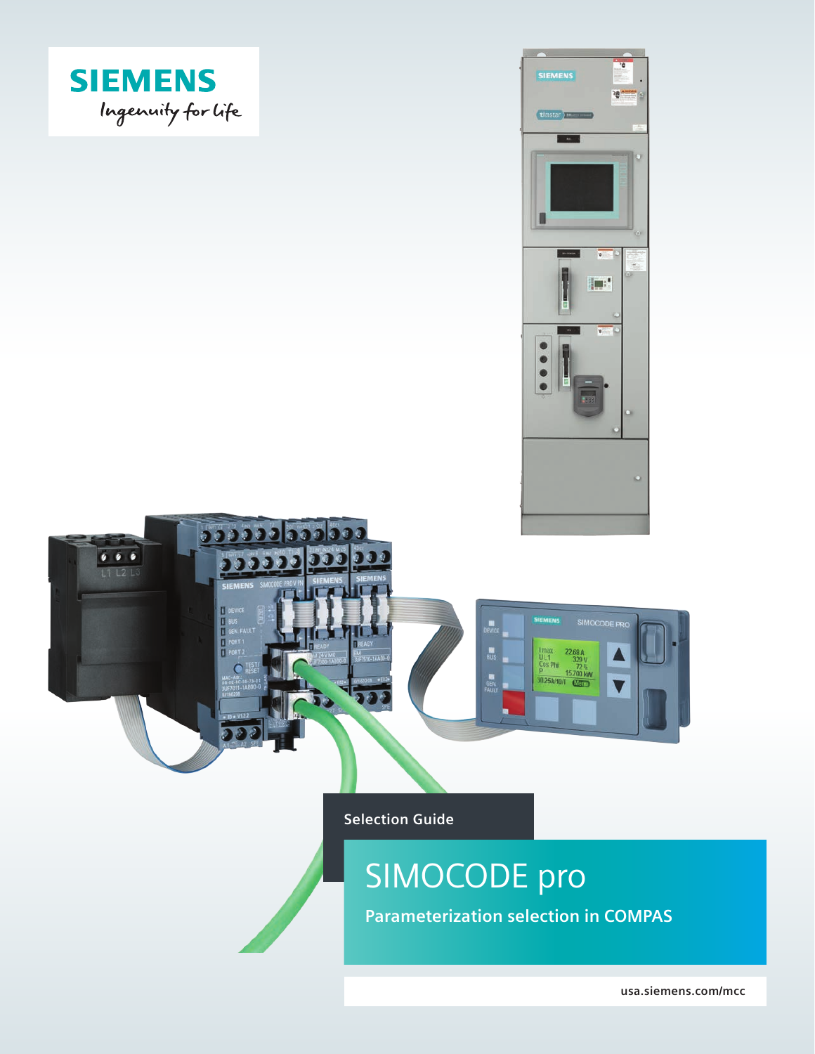

 $0.0.0$ 



**Selection Guide**

200000000000

 $22220$ 

Ħ

223

 $33<sup>o</sup>$ 

De,

# SIMOCODE pro

**Parameterization selection in COMPAS**

1max 22.68 A<br>
UL1 329 V<br>
Cos Phi 72 %<br>
P 15.700 kW<br>
30.25A/10/T GETT

г

**usa.siemens.com/mcc**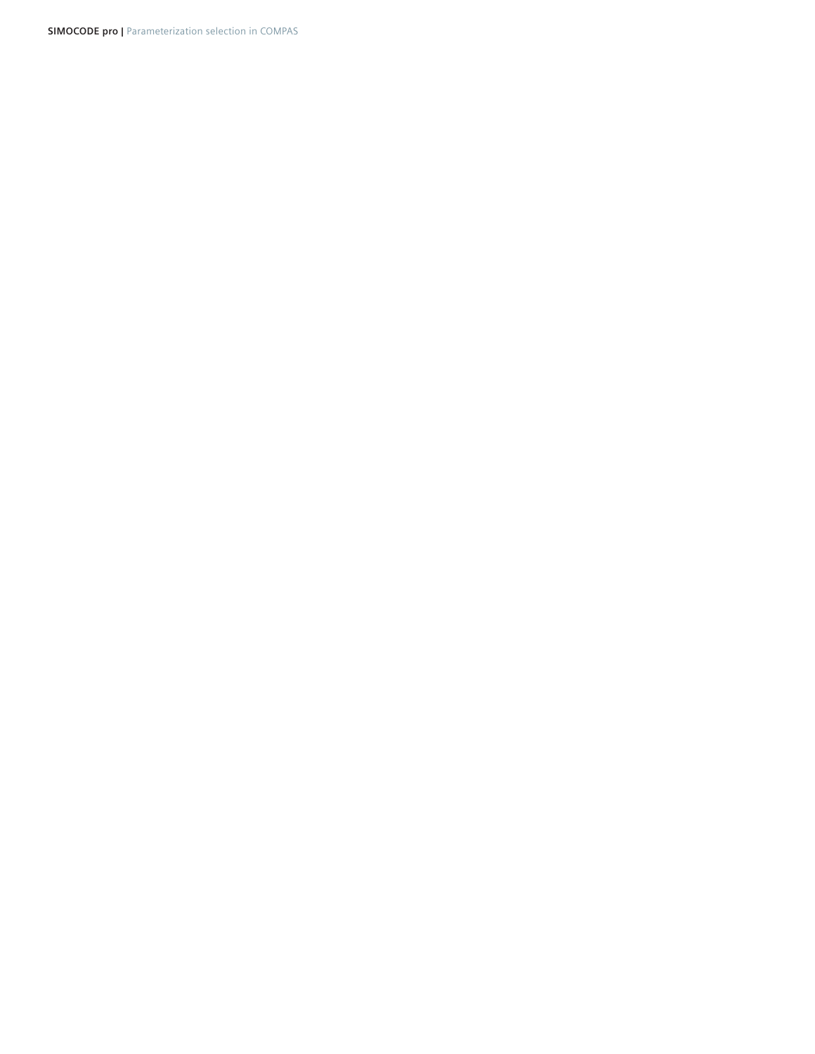**SIMOCODE pro |** Parameterization selection in COMPAS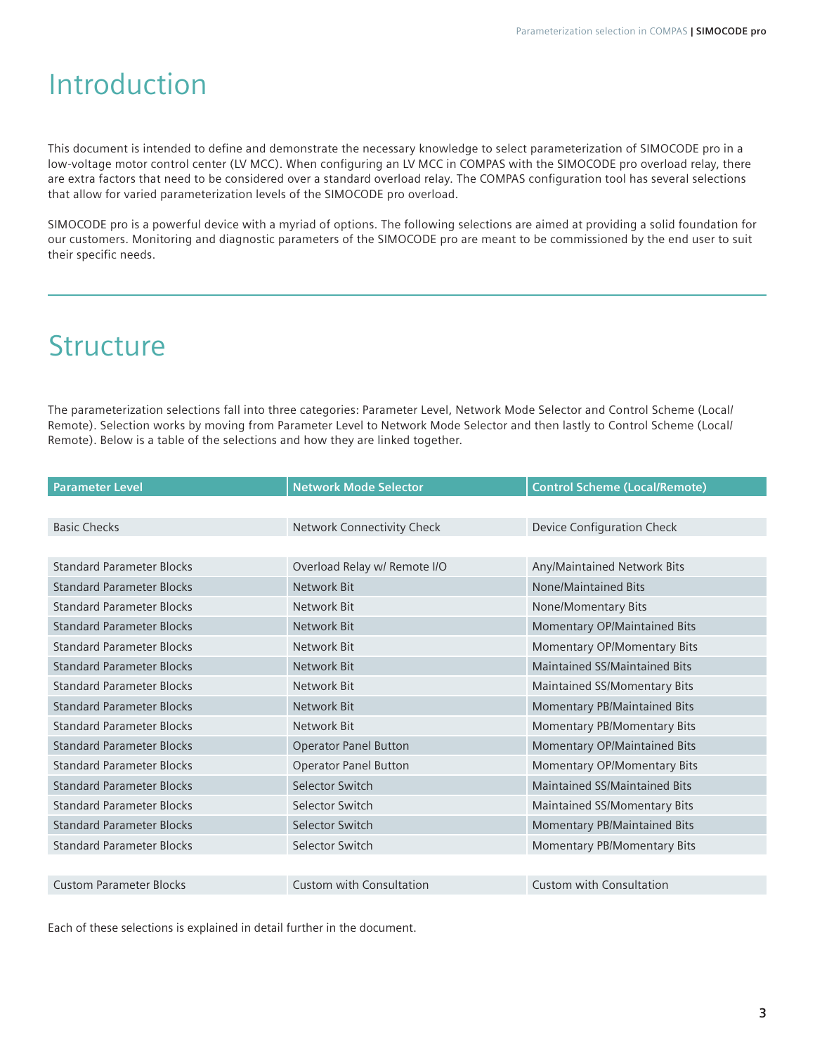#### Introduction

This document is intended to define and demonstrate the necessary knowledge to select parameterization of SIMOCODE pro in a low-voltage motor control center (LV MCC). When configuring an LV MCC in COMPAS with the SIMOCODE pro overload relay, there are extra factors that need to be considered over a standard overload relay. The COMPAS configuration tool has several selections that allow for varied parameterization levels of the SIMOCODE pro overload.

SIMOCODE pro is a powerful device with a myriad of options. The following selections are aimed at providing a solid foundation for our customers. Monitoring and diagnostic parameters of the SIMOCODE pro are meant to be commissioned by the end user to suit their specific needs.

#### **Structure**

The parameterization selections fall into three categories: Parameter Level, Network Mode Selector and Control Scheme (Local/ Remote). Selection works by moving from Parameter Level to Network Mode Selector and then lastly to Control Scheme (Local/ Remote). Below is a table of the selections and how they are linked together.

| <b>Parameter Level</b>           | <b>Network Mode Selector</b> | <b>Control Scheme (Local/Remote)</b> |
|----------------------------------|------------------------------|--------------------------------------|
|                                  |                              |                                      |
| <b>Basic Checks</b>              | Network Connectivity Check   | Device Configuration Check           |
|                                  |                              |                                      |
| <b>Standard Parameter Blocks</b> | Overload Relay w/ Remote I/O | Any/Maintained Network Bits          |
| <b>Standard Parameter Blocks</b> | Network Bit                  | None/Maintained Bits                 |
| <b>Standard Parameter Blocks</b> | Network Bit                  | None/Momentary Bits                  |
| <b>Standard Parameter Blocks</b> | Network Bit                  | Momentary OP/Maintained Bits         |
| <b>Standard Parameter Blocks</b> | <b>Network Bit</b>           | Momentary OP/Momentary Bits          |
| <b>Standard Parameter Blocks</b> | Network Bit                  | <b>Maintained SS/Maintained Bits</b> |
| <b>Standard Parameter Blocks</b> | Network Bit                  | Maintained SS/Momentary Bits         |
| <b>Standard Parameter Blocks</b> | Network Bit                  | Momentary PB/Maintained Bits         |
| <b>Standard Parameter Blocks</b> | Network Bit                  | Momentary PB/Momentary Bits          |
| <b>Standard Parameter Blocks</b> | <b>Operator Panel Button</b> | Momentary OP/Maintained Bits         |
| <b>Standard Parameter Blocks</b> | <b>Operator Panel Button</b> | Momentary OP/Momentary Bits          |
| <b>Standard Parameter Blocks</b> | Selector Switch              | <b>Maintained SS/Maintained Bits</b> |
| <b>Standard Parameter Blocks</b> | Selector Switch              | Maintained SS/Momentary Bits         |
| <b>Standard Parameter Blocks</b> | Selector Switch              | Momentary PB/Maintained Bits         |
| <b>Standard Parameter Blocks</b> | Selector Switch              | Momentary PB/Momentary Bits          |
|                                  |                              |                                      |
| <b>Custom Parameter Blocks</b>   | Custom with Consultation     | Custom with Consultation             |
|                                  |                              |                                      |

Each of these selections is explained in detail further in the document.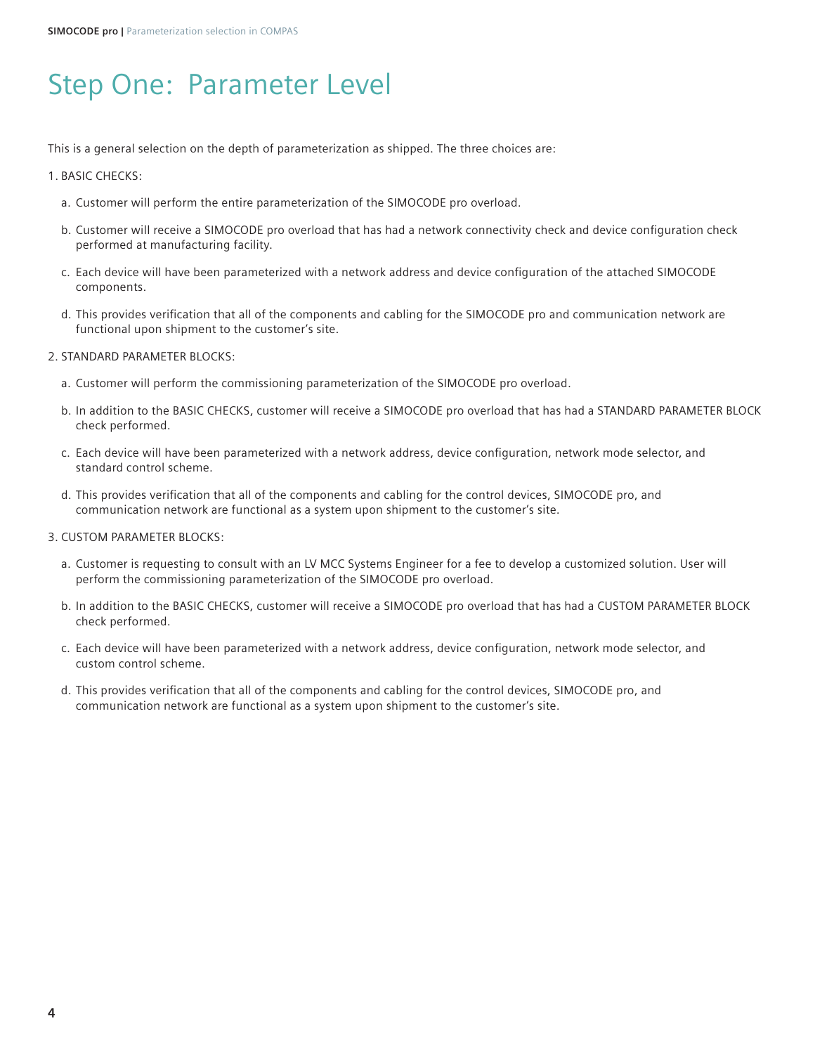### Step One: Parameter Level

This is a general selection on the depth of parameterization as shipped. The three choices are:

1. BASIC CHECKS:

- a. Customer will perform the entire parameterization of the SIMOCODE pro overload.
- b. Customer will receive a SIMOCODE pro overload that has had a network connectivity check and device configuration check performed at manufacturing facility.
- c. Each device will have been parameterized with a network address and device configuration of the attached SIMOCODE components.
- d. This provides verification that all of the components and cabling for the SIMOCODE pro and communication network are functional upon shipment to the customer's site.
- 2. STANDARD PARAMETER BLOCKS:
	- a. Customer will perform the commissioning parameterization of the SIMOCODE pro overload.
	- b. In addition to the BASIC CHECKS, customer will receive a SIMOCODE pro overload that has had a STANDARD PARAMETER BLOCK check performed.
	- c. Each device will have been parameterized with a network address, device configuration, network mode selector, and standard control scheme.
	- d. This provides verification that all of the components and cabling for the control devices, SIMOCODE pro, and communication network are functional as a system upon shipment to the customer's site.
- 3. CUSTOM PARAMETER BLOCKS:
	- a. Customer is requesting to consult with an LV MCC Systems Engineer for a fee to develop a customized solution. User will perform the commissioning parameterization of the SIMOCODE pro overload.
	- b. In addition to the BASIC CHECKS, customer will receive a SIMOCODE pro overload that has had a CUSTOM PARAMETER BLOCK check performed.
	- c. Each device will have been parameterized with a network address, device configuration, network mode selector, and custom control scheme.
	- d. This provides verification that all of the components and cabling for the control devices, SIMOCODE pro, and communication network are functional as a system upon shipment to the customer's site.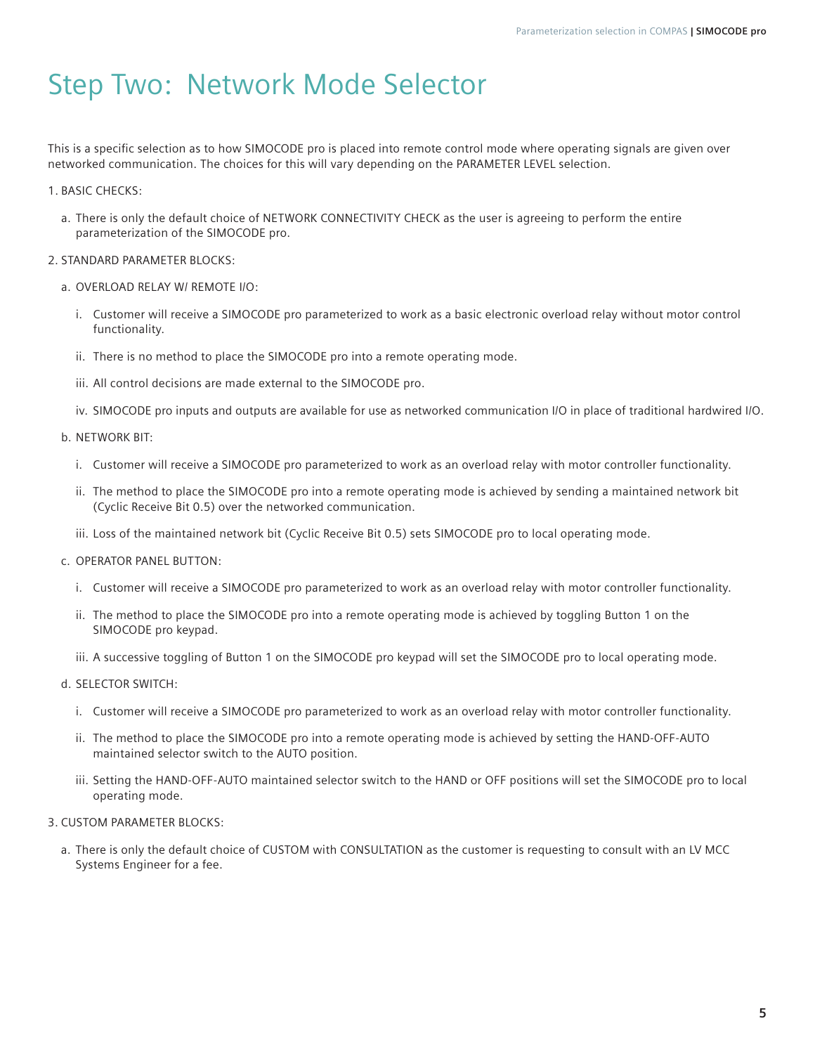### Step Two: Network Mode Selector

This is a specific selection as to how SIMOCODE pro is placed into remote control mode where operating signals are given over networked communication. The choices for this will vary depending on the PARAMETER LEVEL selection.

1. BASIC CHECKS:

a. There is only the default choice of NETWORK CONNECTIVITY CHECK as the user is agreeing to perform the entire parameterization of the SIMOCODE pro.

#### 2. STANDARD PARAMETER BLOCKS:

- a. OVERLOAD RELAY W/ REMOTE I/O:
	- i. Customer will receive a SIMOCODE pro parameterized to work as a basic electronic overload relay without motor control functionality.
	- ii. There is no method to place the SIMOCODE pro into a remote operating mode.
	- iii. All control decisions are made external to the SIMOCODE pro.
	- iv. SIMOCODE pro inputs and outputs are available for use as networked communication I/O in place of traditional hardwired I/O.
- b. NETWORK BIT:
	- i. Customer will receive a SIMOCODE pro parameterized to work as an overload relay with motor controller functionality.
	- ii. The method to place the SIMOCODE pro into a remote operating mode is achieved by sending a maintained network bit (Cyclic Receive Bit 0.5) over the networked communication.
	- iii. Loss of the maintained network bit (Cyclic Receive Bit 0.5) sets SIMOCODE pro to local operating mode.
- c. OPERATOR PANEL BUTTON:
	- i. Customer will receive a SIMOCODE pro parameterized to work as an overload relay with motor controller functionality.
	- ii. The method to place the SIMOCODE pro into a remote operating mode is achieved by toggling Button 1 on the SIMOCODE pro keypad.
	- iii. A successive toggling of Button 1 on the SIMOCODE pro keypad will set the SIMOCODE pro to local operating mode.
- d. SELECTOR SWITCH:
	- i. Customer will receive a SIMOCODE pro parameterized to work as an overload relay with motor controller functionality.
	- ii. The method to place the SIMOCODE pro into a remote operating mode is achieved by setting the HAND-OFF-AUTO maintained selector switch to the AUTO position.
	- iii. Setting the HAND-OFF-AUTO maintained selector switch to the HAND or OFF positions will set the SIMOCODE pro to local operating mode.

#### 3. CUSTOM PARAMETER BLOCKS:

a. There is only the default choice of CUSTOM with CONSULTATION as the customer is requesting to consult with an LV MCC Systems Engineer for a fee.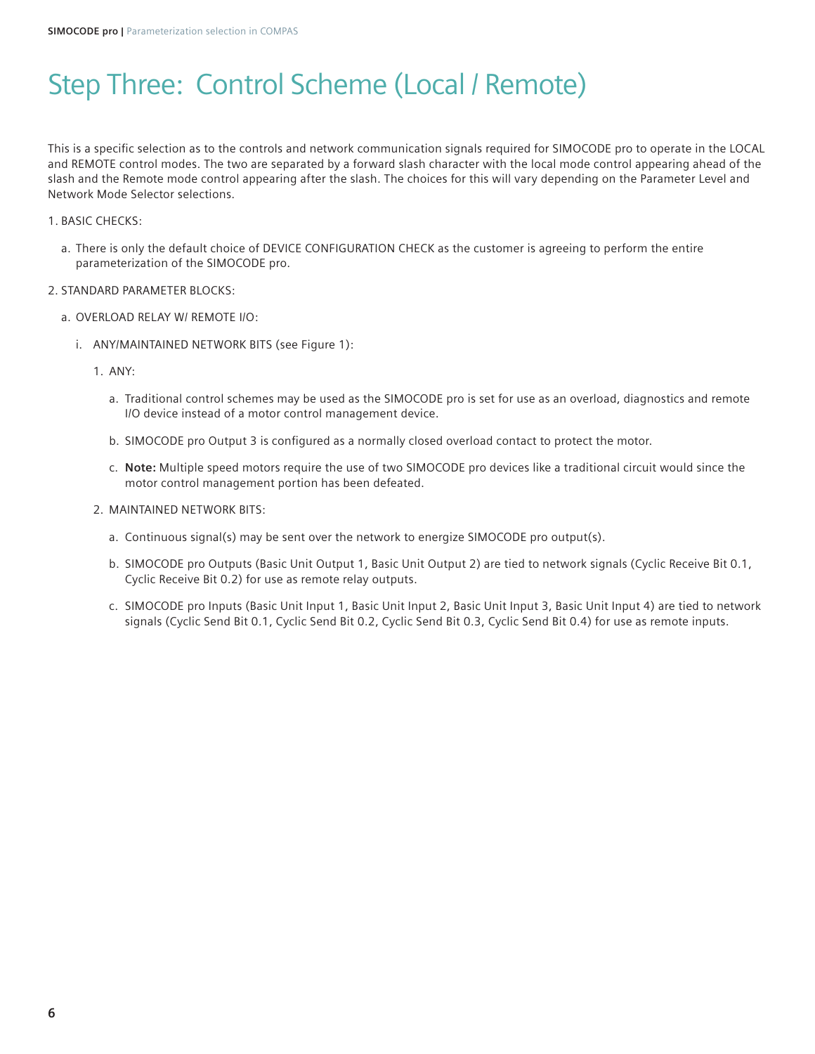# Step Three: Control Scheme (Local / Remote)

This is a specific selection as to the controls and network communication signals required for SIMOCODE pro to operate in the LOCAL and REMOTE control modes. The two are separated by a forward slash character with the local mode control appearing ahead of the slash and the Remote mode control appearing after the slash. The choices for this will vary depending on the Parameter Level and Network Mode Selector selections.

1. BASIC CHECKS:

- a. There is only the default choice of DEVICE CONFIGURATION CHECK as the customer is agreeing to perform the entire parameterization of the SIMOCODE pro.
- 2. STANDARD PARAMETER BLOCKS:
	- a. OVERLOAD RELAY W/ REMOTE I/O:
		- i. ANY/MAINTAINED NETWORK BITS (see Figure 1):
			- 1. ANY:
				- a. Traditional control schemes may be used as the SIMOCODE pro is set for use as an overload, diagnostics and remote I/O device instead of a motor control management device.
				- b. SIMOCODE pro Output 3 is configured as a normally closed overload contact to protect the motor.
				- c. **Note:** Multiple speed motors require the use of two SIMOCODE pro devices like a traditional circuit would since the motor control management portion has been defeated.
			- 2. MAINTAINED NETWORK BITS:
				- a. Continuous signal(s) may be sent over the network to energize SIMOCODE pro output(s).
				- b. SIMOCODE pro Outputs (Basic Unit Output 1, Basic Unit Output 2) are tied to network signals (Cyclic Receive Bit 0.1, Cyclic Receive Bit 0.2) for use as remote relay outputs.
				- c. SIMOCODE pro Inputs (Basic Unit Input 1, Basic Unit Input 2, Basic Unit Input 3, Basic Unit Input 4) are tied to network signals (Cyclic Send Bit 0.1, Cyclic Send Bit 0.2, Cyclic Send Bit 0.3, Cyclic Send Bit 0.4) for use as remote inputs.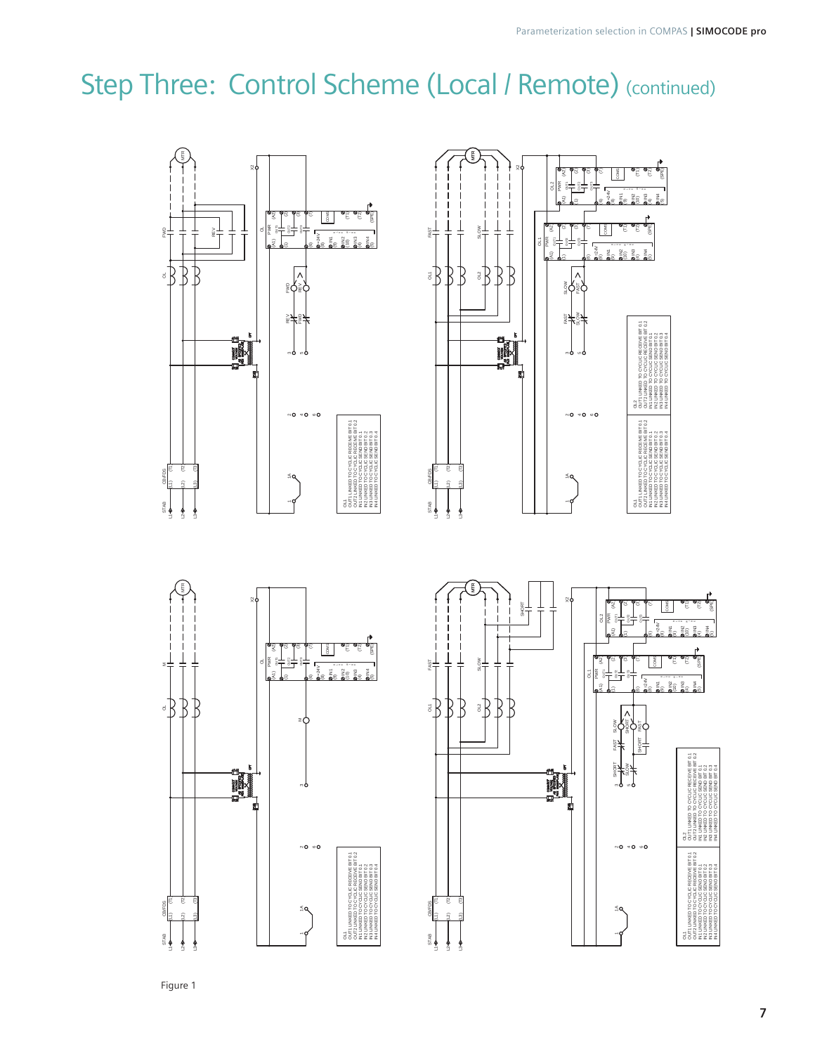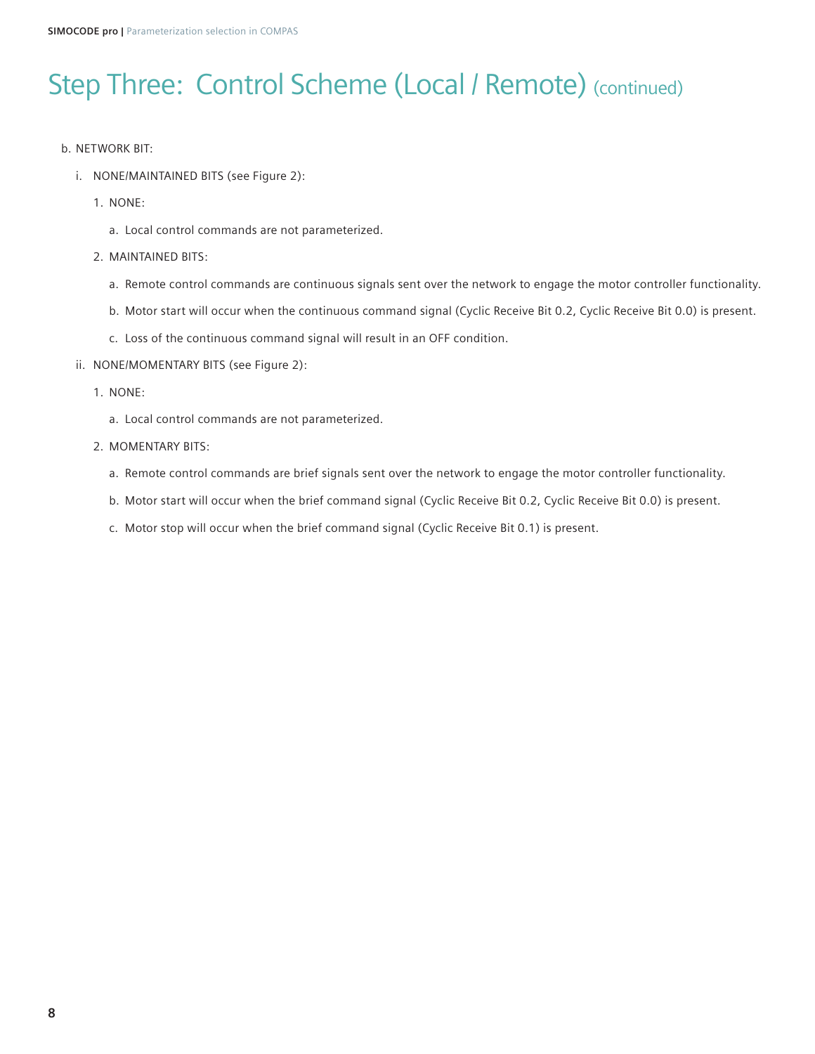- b. NETWORK BIT:
	- i. NONE/MAINTAINED BITS (see Figure 2):
		- 1. NONE:
			- a. Local control commands are not parameterized.
		- 2. MAINTAINED BITS:
			- a. Remote control commands are continuous signals sent over the network to engage the motor controller functionality.
			- b. Motor start will occur when the continuous command signal (Cyclic Receive Bit 0.2, Cyclic Receive Bit 0.0) is present.
			- c. Loss of the continuous command signal will result in an OFF condition.
	- ii. NONE/MOMENTARY BITS (see Figure 2):
		- 1. NONE:
			- a. Local control commands are not parameterized.
		- 2. MOMENTARY BITS:
			- a. Remote control commands are brief signals sent over the network to engage the motor controller functionality.
			- b. Motor start will occur when the brief command signal (Cyclic Receive Bit 0.2, Cyclic Receive Bit 0.0) is present.
			- c. Motor stop will occur when the brief command signal (Cyclic Receive Bit 0.1) is present.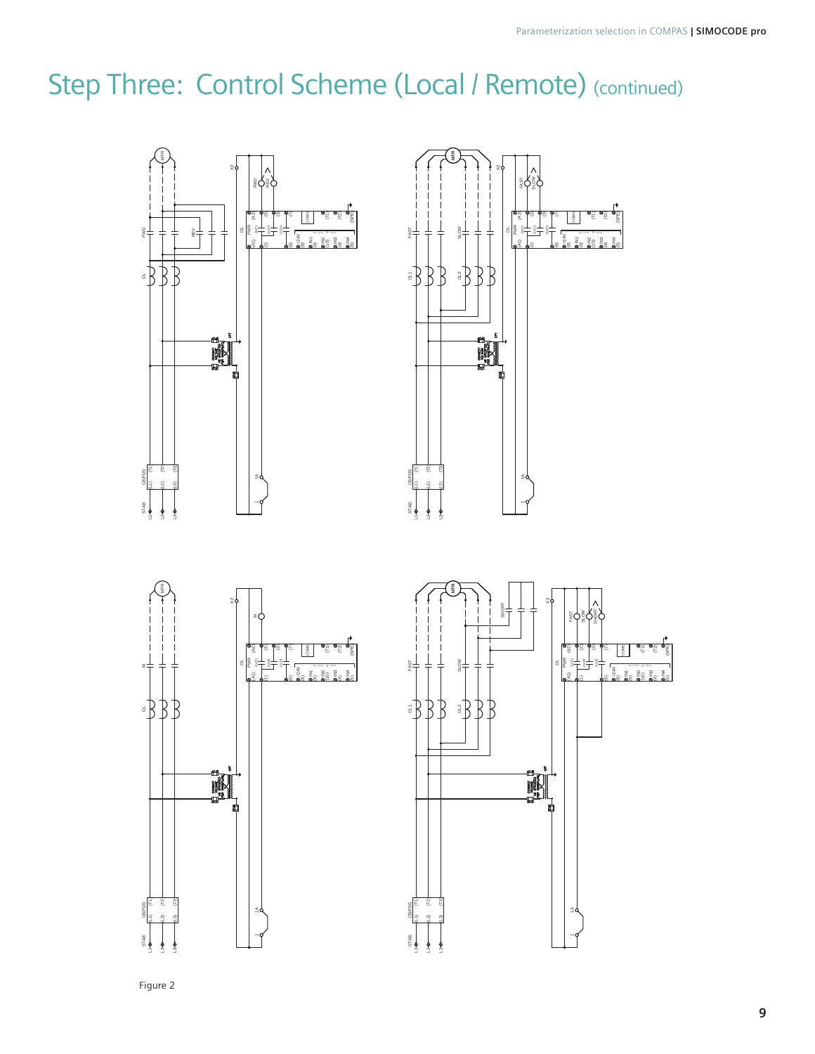





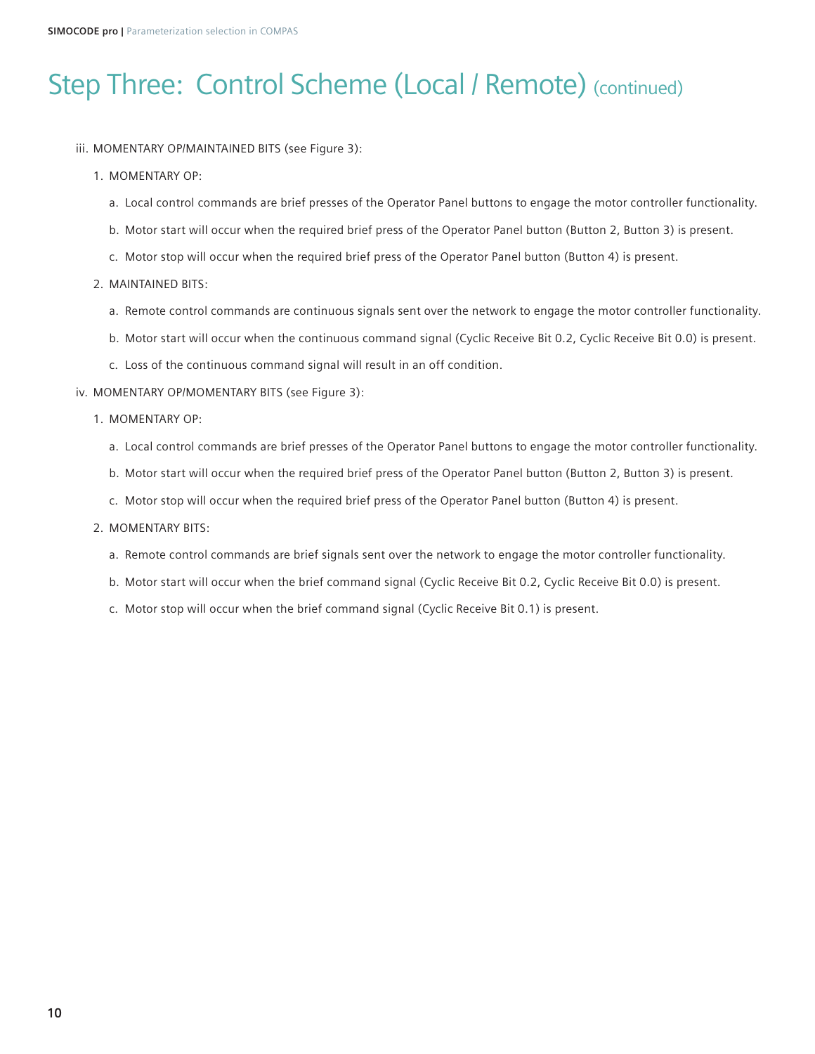- iii. MOMENTARY OP/MAINTAINED BITS (see Figure 3):
	- 1. MOMENTARY OP:
		- a. Local control commands are brief presses of the Operator Panel buttons to engage the motor controller functionality.
		- b. Motor start will occur when the required brief press of the Operator Panel button (Button 2, Button 3) is present.
		- c. Motor stop will occur when the required brief press of the Operator Panel button (Button 4) is present.
	- 2. MAINTAINED BITS:
		- a. Remote control commands are continuous signals sent over the network to engage the motor controller functionality.
		- b. Motor start will occur when the continuous command signal (Cyclic Receive Bit 0.2, Cyclic Receive Bit 0.0) is present.
		- c. Loss of the continuous command signal will result in an off condition.
- iv. MOMENTARY OP/MOMENTARY BITS (see Figure 3):
	- 1. MOMENTARY OP:
		- a. Local control commands are brief presses of the Operator Panel buttons to engage the motor controller functionality.
		- b. Motor start will occur when the required brief press of the Operator Panel button (Button 2, Button 3) is present.
		- c. Motor stop will occur when the required brief press of the Operator Panel button (Button 4) is present.
	- 2. MOMENTARY BITS:
		- a. Remote control commands are brief signals sent over the network to engage the motor controller functionality.
		- b. Motor start will occur when the brief command signal (Cyclic Receive Bit 0.2, Cyclic Receive Bit 0.0) is present.
		- c. Motor stop will occur when the brief command signal (Cyclic Receive Bit 0.1) is present.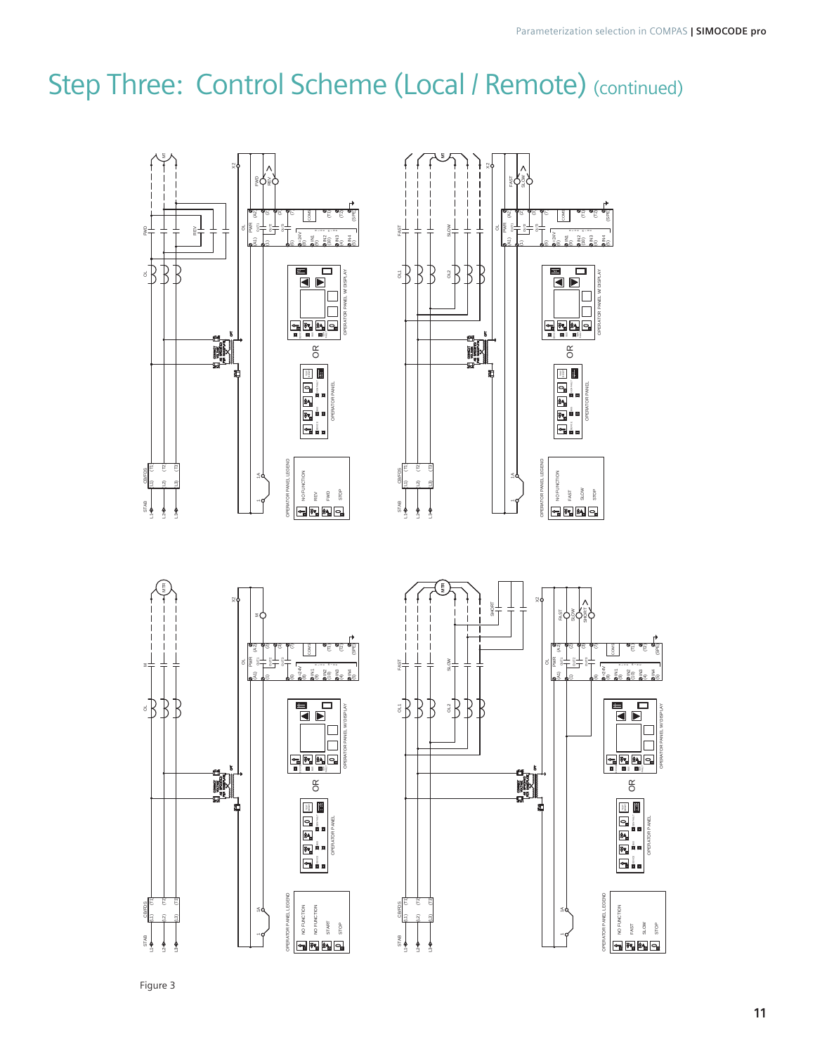(T2)

 $\widehat{\mathbf{z}}$ (5) (SPE)

Ξ

OPERATOR PANEL W/ DISPLAY

OPERATOR PANEL

SLOW STOP

2<br>2  $\frac{3}{2}$ 

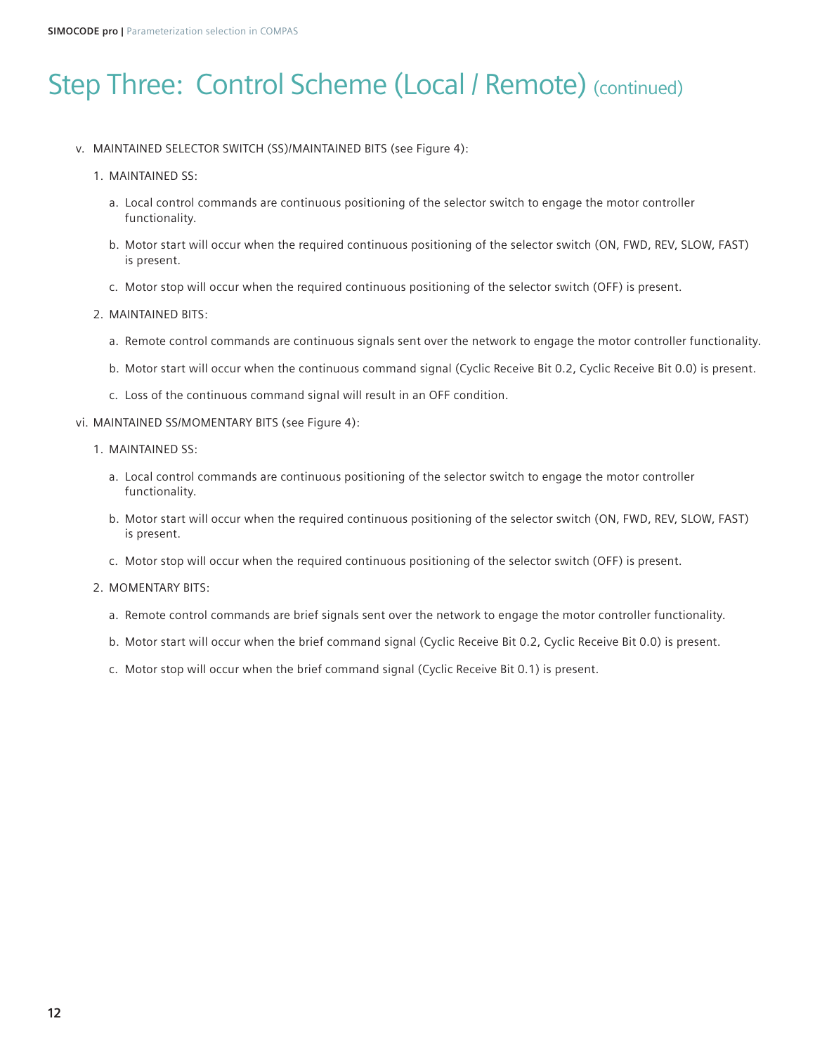- v. MAINTAINED SELECTOR SWITCH (SS)/MAINTAINED BITS (see Figure 4):
	- 1. MAINTAINED SS:
		- a. Local control commands are continuous positioning of the selector switch to engage the motor controller functionality.
		- b. Motor start will occur when the required continuous positioning of the selector switch (ON, FWD, REV, SLOW, FAST) is present.
		- c. Motor stop will occur when the required continuous positioning of the selector switch (OFF) is present.
	- 2. MAINTAINED BITS:
		- a. Remote control commands are continuous signals sent over the network to engage the motor controller functionality.
		- b. Motor start will occur when the continuous command signal (Cyclic Receive Bit 0.2, Cyclic Receive Bit 0.0) is present.
		- c. Loss of the continuous command signal will result in an OFF condition.
- vi. MAINTAINED SS/MOMENTARY BITS (see Figure 4):
	- 1. MAINTAINED SS:
		- a. Local control commands are continuous positioning of the selector switch to engage the motor controller functionality.
		- b. Motor start will occur when the required continuous positioning of the selector switch (ON, FWD, REV, SLOW, FAST) is present.
		- c. Motor stop will occur when the required continuous positioning of the selector switch (OFF) is present.
	- 2. MOMENTARY BITS:
		- a. Remote control commands are brief signals sent over the network to engage the motor controller functionality.
		- b. Motor start will occur when the brief command signal (Cyclic Receive Bit 0.2, Cyclic Receive Bit 0.0) is present.
		- c. Motor stop will occur when the brief command signal (Cyclic Receive Bit 0.1) is present.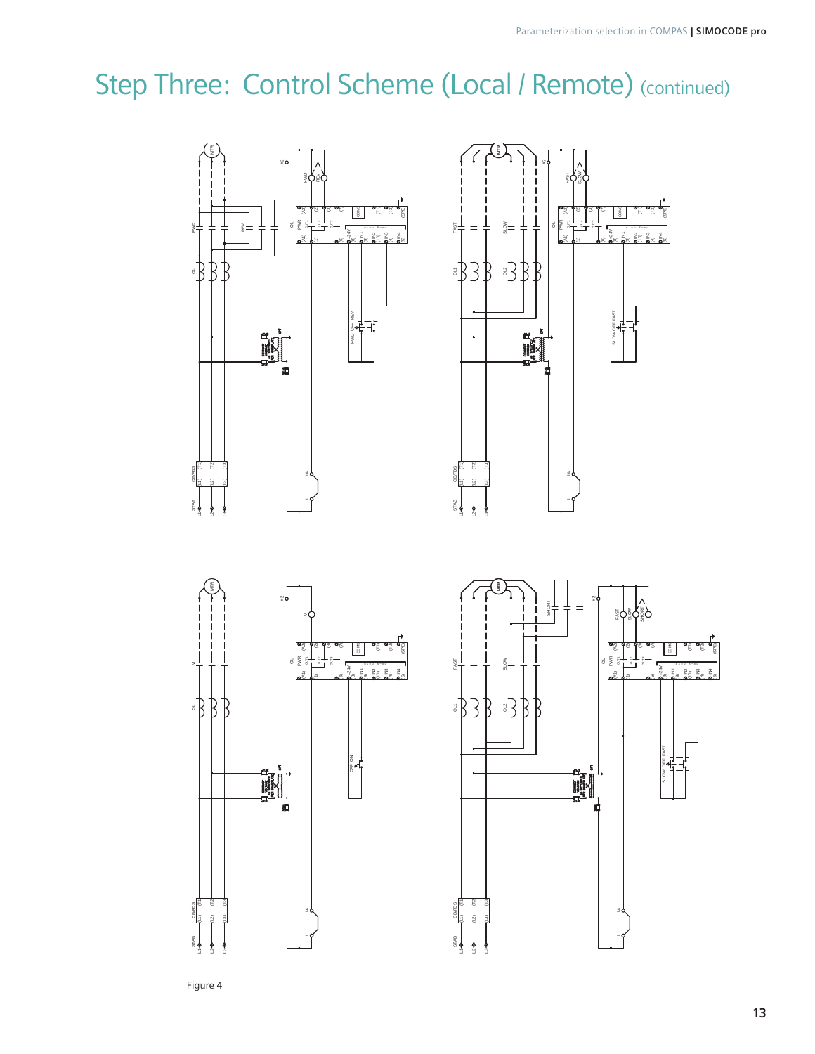





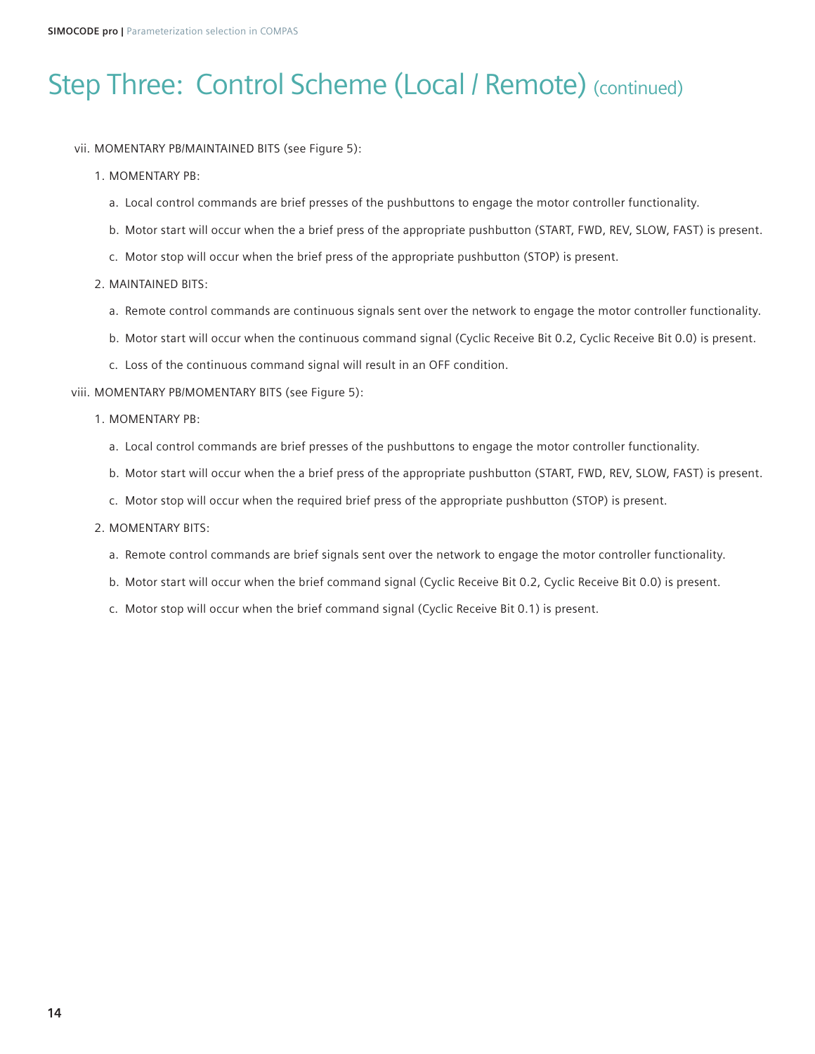vii. MOMENTARY PB/MAINTAINED BITS (see Figure 5):

- 1. MOMENTARY PB:
	- a. Local control commands are brief presses of the pushbuttons to engage the motor controller functionality.
	- b. Motor start will occur when the a brief press of the appropriate pushbutton (START, FWD, REV, SLOW, FAST) is present.
	- c. Motor stop will occur when the brief press of the appropriate pushbutton (STOP) is present.
- 2. MAINTAINED BITS:
	- a. Remote control commands are continuous signals sent over the network to engage the motor controller functionality.
	- b. Motor start will occur when the continuous command signal (Cyclic Receive Bit 0.2, Cyclic Receive Bit 0.0) is present.
	- c. Loss of the continuous command signal will result in an OFF condition.

viii. MOMENTARY PB/MOMENTARY BITS (see Figure 5):

- 1. MOMENTARY PB:
	- a. Local control commands are brief presses of the pushbuttons to engage the motor controller functionality.
	- b. Motor start will occur when the a brief press of the appropriate pushbutton (START, FWD, REV, SLOW, FAST) is present.
	- c. Motor stop will occur when the required brief press of the appropriate pushbutton (STOP) is present.
- 2. MOMENTARY BITS:
	- a. Remote control commands are brief signals sent over the network to engage the motor controller functionality.
	- b. Motor start will occur when the brief command signal (Cyclic Receive Bit 0.2, Cyclic Receive Bit 0.0) is present.
	- c. Motor stop will occur when the brief command signal (Cyclic Receive Bit 0.1) is present.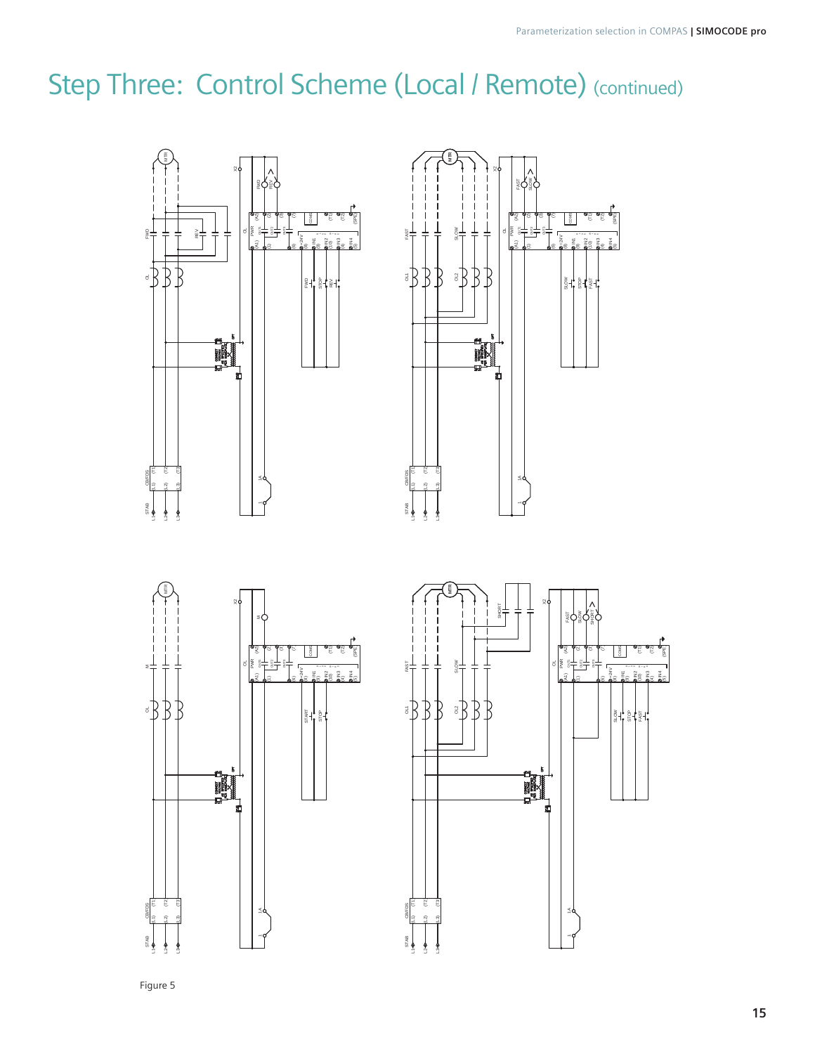





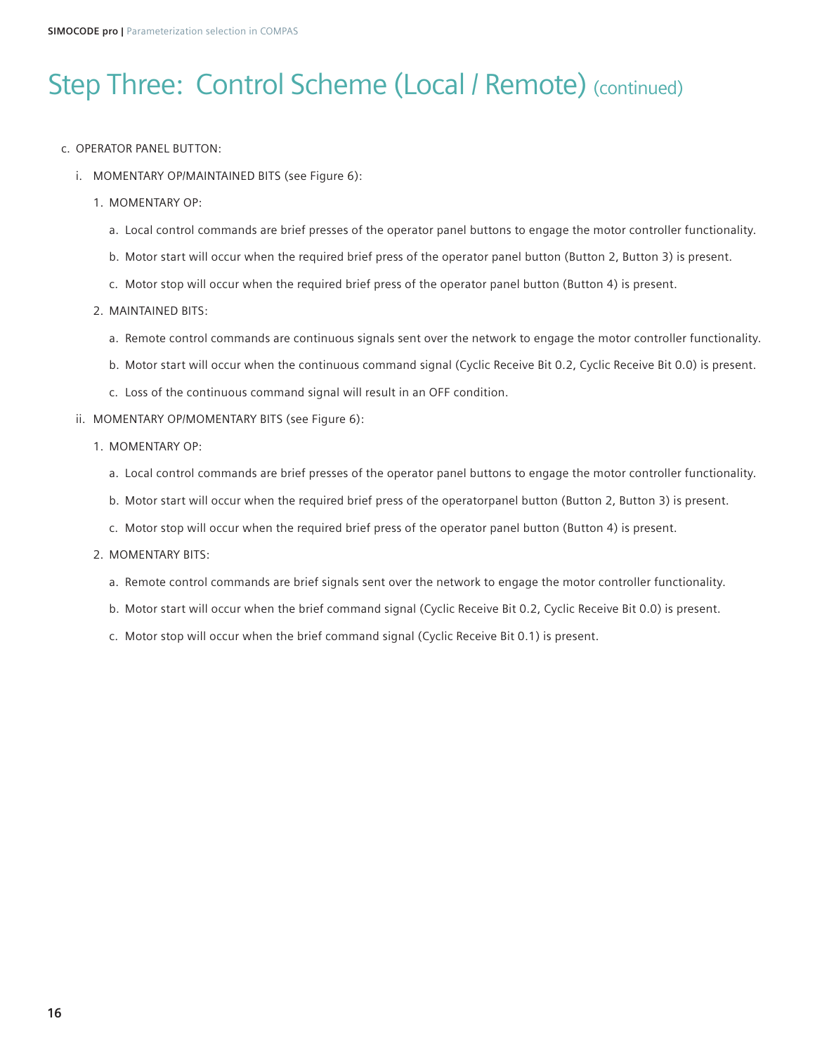- c. OPERATOR PANEL BUTTON:
	- i. MOMENTARY OP/MAINTAINED BITS (see Figure 6):
		- 1. MOMENTARY OP:
			- a. Local control commands are brief presses of the operator panel buttons to engage the motor controller functionality.
			- b. Motor start will occur when the required brief press of the operator panel button (Button 2, Button 3) is present.
			- c. Motor stop will occur when the required brief press of the operator panel button (Button 4) is present.
		- 2. MAINTAINED BITS:
			- a. Remote control commands are continuous signals sent over the network to engage the motor controller functionality.
			- b. Motor start will occur when the continuous command signal (Cyclic Receive Bit 0.2, Cyclic Receive Bit 0.0) is present.
			- c. Loss of the continuous command signal will result in an OFF condition.
	- ii. MOMENTARY OP/MOMENTARY BITS (see Figure 6):
		- 1. MOMENTARY OP:
			- a. Local control commands are brief presses of the operator panel buttons to engage the motor controller functionality.
			- b. Motor start will occur when the required brief press of the operatorpanel button (Button 2, Button 3) is present.
			- c. Motor stop will occur when the required brief press of the operator panel button (Button 4) is present.
		- 2. MOMENTARY BITS:
			- a. Remote control commands are brief signals sent over the network to engage the motor controller functionality.
			- b. Motor start will occur when the brief command signal (Cyclic Receive Bit 0.2, Cyclic Receive Bit 0.0) is present.
			- c. Motor stop will occur when the brief command signal (Cyclic Receive Bit 0.1) is present.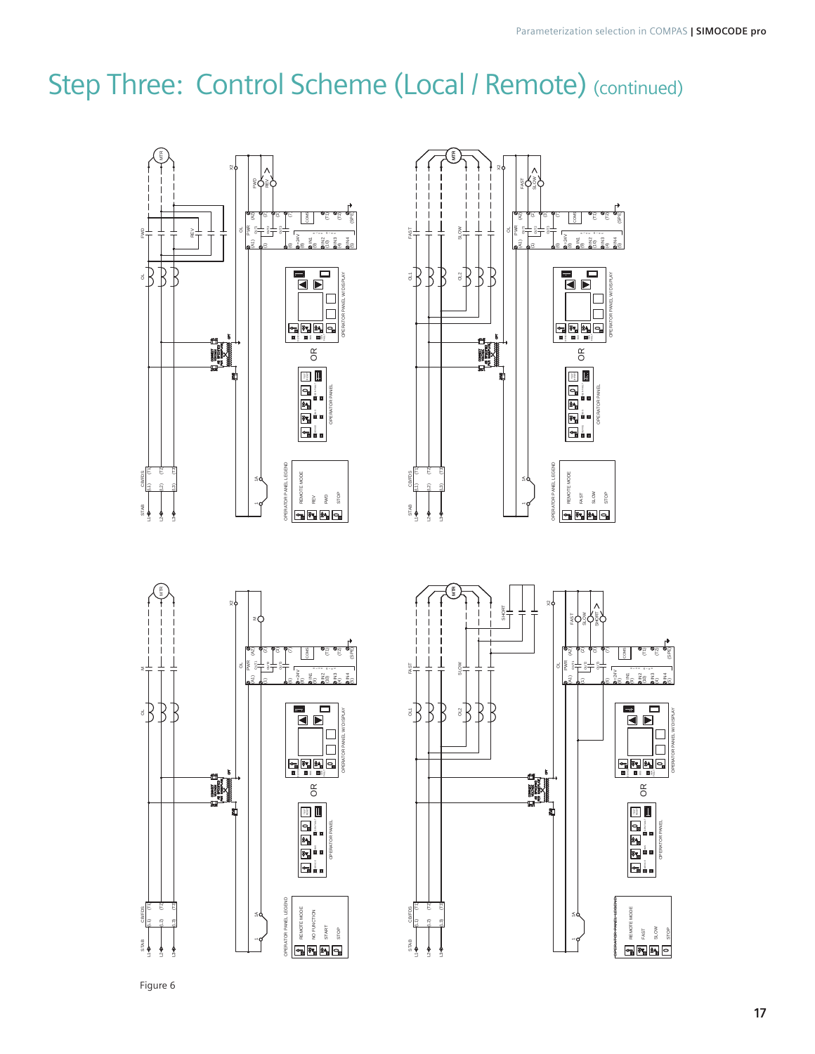E

 $\widetilde{\Xi}$ 

 $\Xi$ (5) (SPE)

 $\Box$ Ш.

OPERATOR PANEL W/ DISPLAY

2

(10) IN2

DEVICE BUSINESS BUSINESS

FAST SLOW STOP

OPERATOR PANEL

TEST RESET

OR

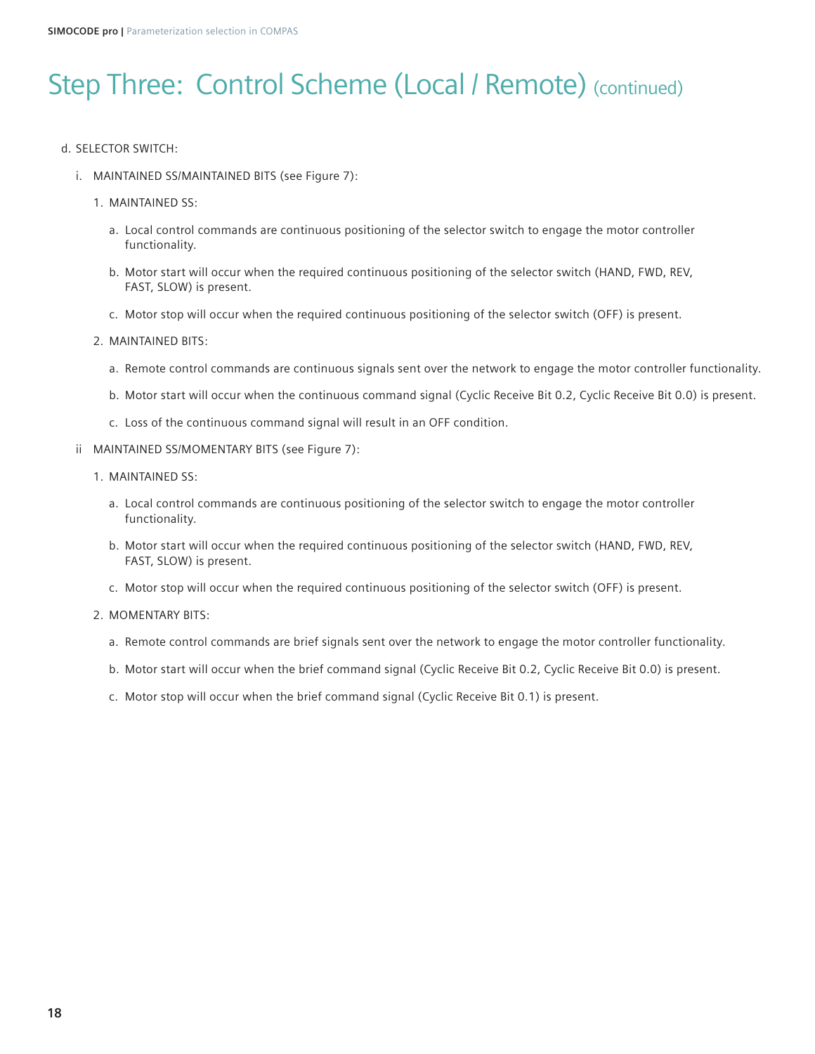- d. SELECTOR SWITCH:
	- i. MAINTAINED SS/MAINTAINED BITS (see Figure 7):
		- 1. MAINTAINED SS:
			- a. Local control commands are continuous positioning of the selector switch to engage the motor controller functionality.
			- b. Motor start will occur when the required continuous positioning of the selector switch (HAND, FWD, REV, FAST, SLOW) is present.
			- c. Motor stop will occur when the required continuous positioning of the selector switch (OFF) is present.
		- 2. MAINTAINED BITS:
			- a. Remote control commands are continuous signals sent over the network to engage the motor controller functionality.
			- b. Motor start will occur when the continuous command signal (Cyclic Receive Bit 0.2, Cyclic Receive Bit 0.0) is present.
			- c. Loss of the continuous command signal will result in an OFF condition.
	- ii MAINTAINED SS/MOMENTARY BITS (see Figure 7):
		- 1. MAINTAINED SS:
			- a. Local control commands are continuous positioning of the selector switch to engage the motor controller functionality.
			- b. Motor start will occur when the required continuous positioning of the selector switch (HAND, FWD, REV, FAST, SLOW) is present.
			- c. Motor stop will occur when the required continuous positioning of the selector switch (OFF) is present.
		- 2. MOMENTARY BITS:
			- a. Remote control commands are brief signals sent over the network to engage the motor controller functionality.
			- b. Motor start will occur when the brief command signal (Cyclic Receive Bit 0.2, Cyclic Receive Bit 0.0) is present.
			- c. Motor stop will occur when the brief command signal (Cyclic Receive Bit 0.1) is present.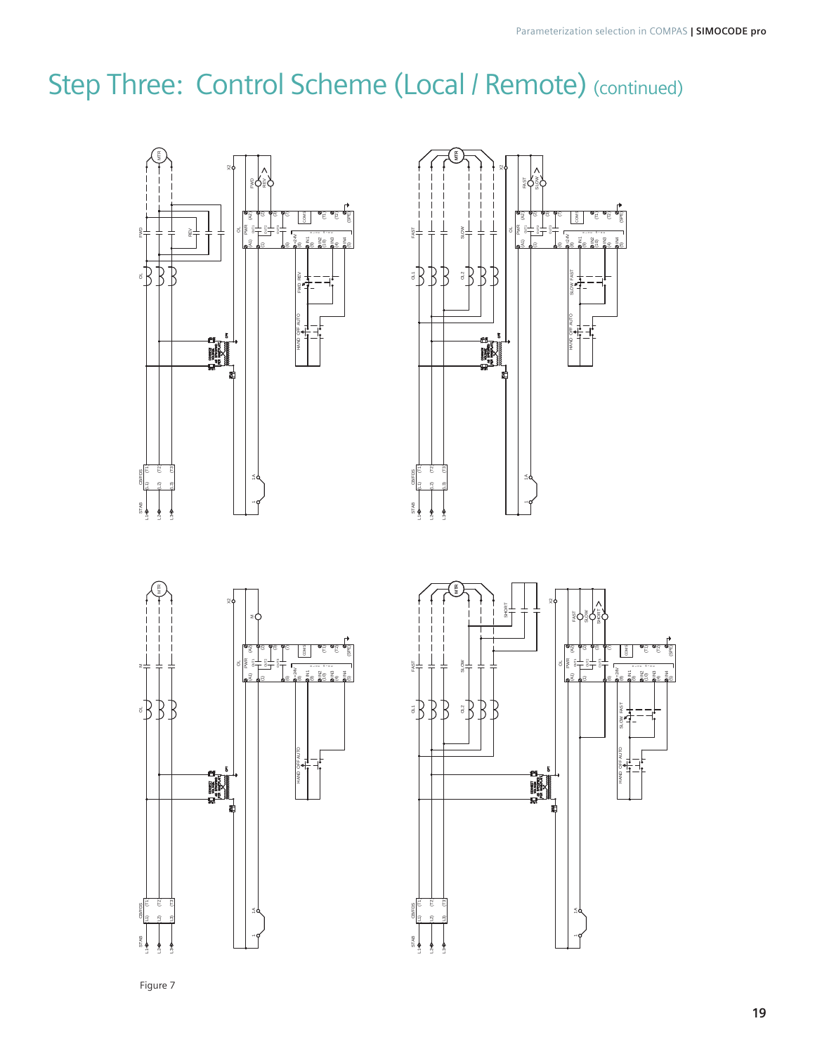





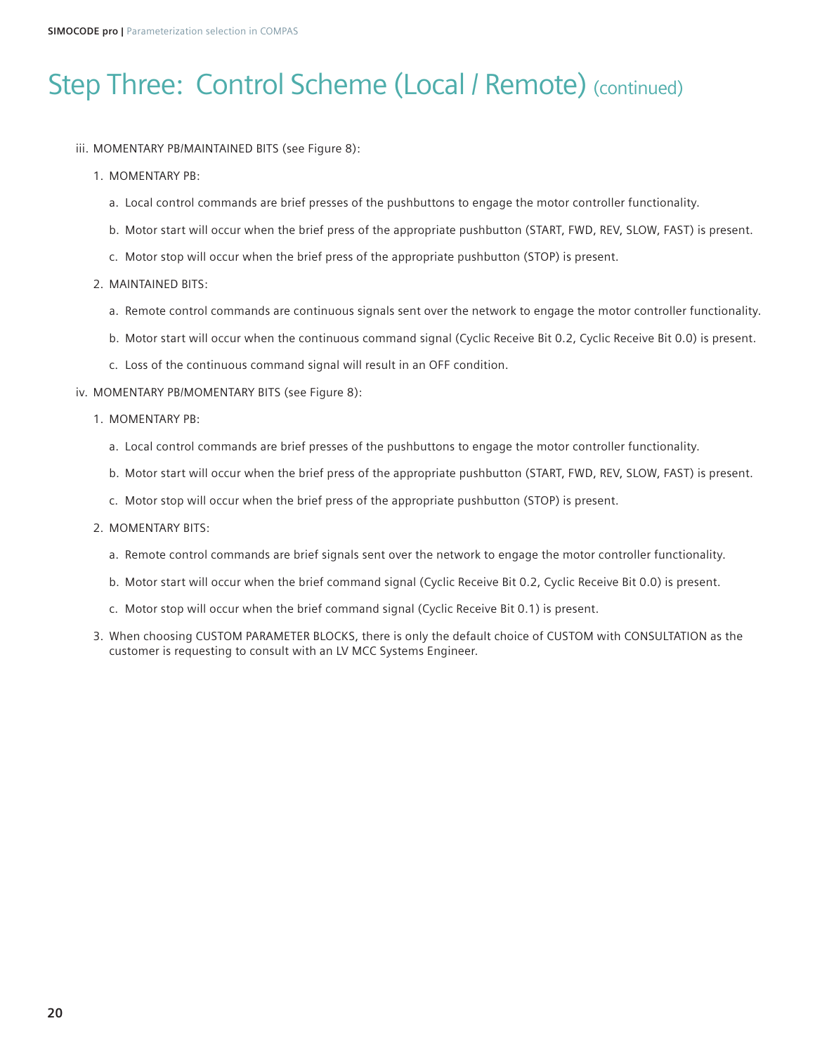- iii. MOMENTARY PB/MAINTAINED BITS (see Figure 8):
	- 1. MOMENTARY PB:
		- a. Local control commands are brief presses of the pushbuttons to engage the motor controller functionality.
		- b. Motor start will occur when the brief press of the appropriate pushbutton (START, FWD, REV, SLOW, FAST) is present.
		- c. Motor stop will occur when the brief press of the appropriate pushbutton (STOP) is present.
	- 2. MAINTAINED BITS:
		- a. Remote control commands are continuous signals sent over the network to engage the motor controller functionality.
		- b. Motor start will occur when the continuous command signal (Cyclic Receive Bit 0.2, Cyclic Receive Bit 0.0) is present.
		- c. Loss of the continuous command signal will result in an OFF condition.
- iv. MOMENTARY PB/MOMENTARY BITS (see Figure 8):
	- 1. MOMENTARY PB:
		- a. Local control commands are brief presses of the pushbuttons to engage the motor controller functionality.
		- b. Motor start will occur when the brief press of the appropriate pushbutton (START, FWD, REV, SLOW, FAST) is present.
		- c. Motor stop will occur when the brief press of the appropriate pushbutton (STOP) is present.
	- 2. MOMENTARY BITS:
		- a. Remote control commands are brief signals sent over the network to engage the motor controller functionality.
		- b. Motor start will occur when the brief command signal (Cyclic Receive Bit 0.2, Cyclic Receive Bit 0.0) is present.
		- c. Motor stop will occur when the brief command signal (Cyclic Receive Bit 0.1) is present.
	- 3. When choosing CUSTOM PARAMETER BLOCKS, there is only the default choice of CUSTOM with CONSULTATION as the customer is requesting to consult with an LV MCC Systems Engineer.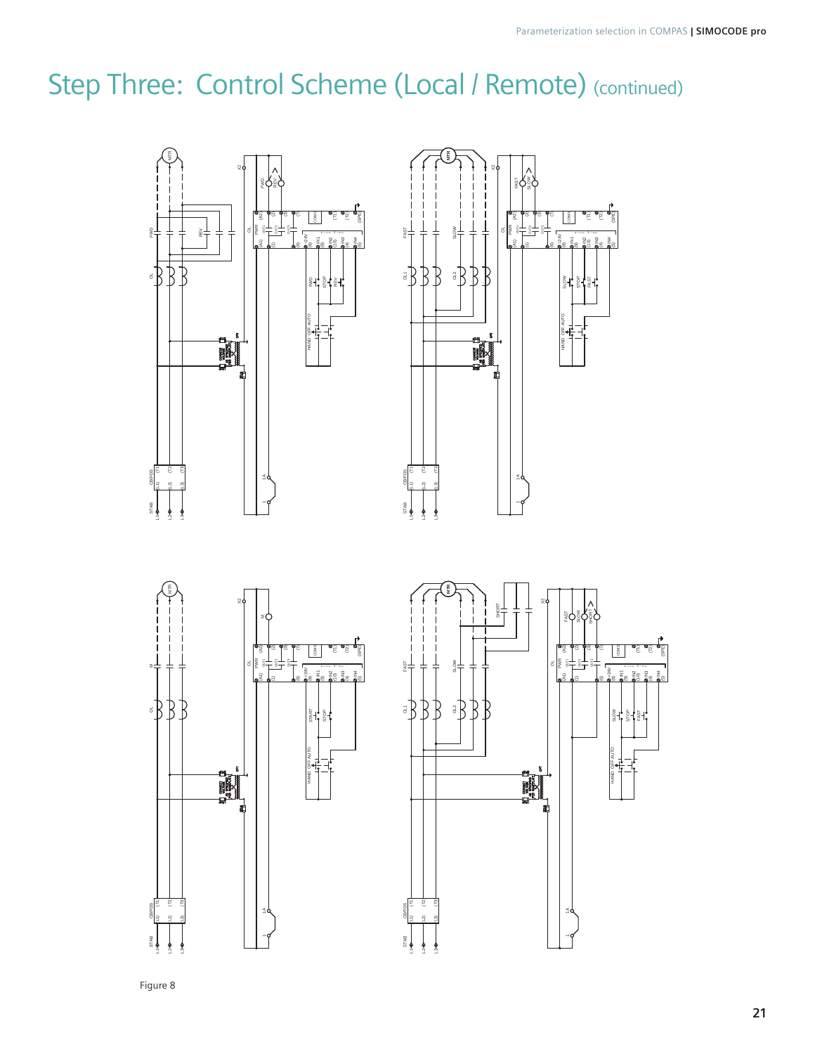